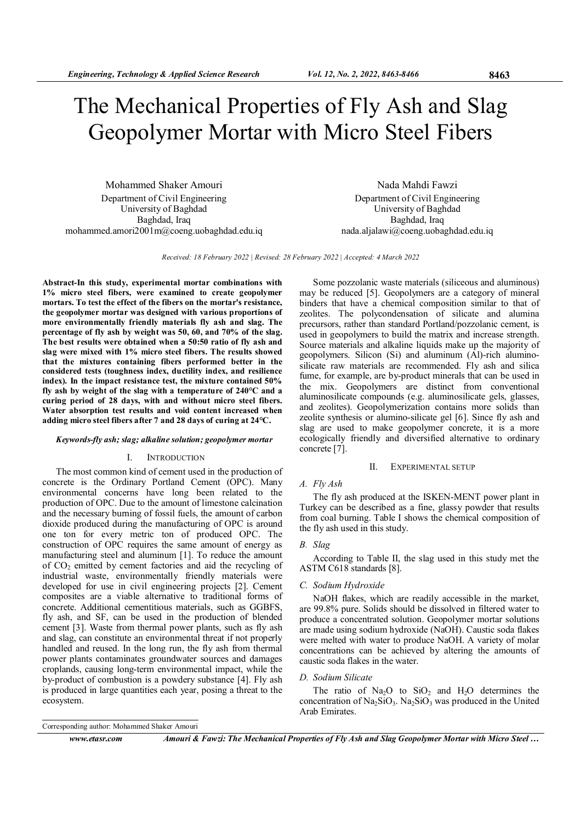# The Mechanical Properties of Fly Ash and Slag Geopolymer Mortar with Micro Steel Fibers

Mohammed Shaker Amouri Department of Civil Engineering University of Baghdad Baghdad, Iraq mohammed.amori2001m@coeng.uobaghdad.edu.iq

Nada Mahdi Fawzi Department of Civil Engineering University of Baghdad Baghdad, Iraq nada.aljalawi@coeng.uobaghdad.edu.iq

Received: 18 February 2022 | Revised: 28 February 2022 | Accepted: 4 March 2022

Abstract-In this study, experimental mortar combinations with 1% micro steel fibers, were examined to create geopolymer mortars. To test the effect of the fibers on the mortar's resistance, the geopolymer mortar was designed with various proportions of more environmentally friendly materials fly ash and slag. The percentage of fly ash by weight was 50, 60, and 70% of the slag. The best results were obtained when a 50:50 ratio of fly ash and slag were mixed with 1% micro steel fibers. The results showed that the mixtures containing fibers performed better in the considered tests (toughness index, ductility index, and resilience index). In the impact resistance test, the mixture contained 50% fly ash by weight of the slag with a temperature of 240°C and a curing period of 28 days, with and without micro steel fibers. Water absorption test results and void content increased when adding micro steel fibers after 7 and 28 days of curing at 24°C.

#### Keywords-fly ash; slag; alkaline solution; geopolymer mortar

## I. INTRODUCTION

The most common kind of cement used in the production of concrete is the Ordinary Portland Cement (OPC). Many environmental concerns have long been related to the production of OPC. Due to the amount of limestone calcination and the necessary burning of fossil fuels, the amount of carbon dioxide produced during the manufacturing of OPC is around one ton for every metric ton of produced OPC. The construction of OPC requires the same amount of energy as manufacturing steel and aluminum [1]. To reduce the amount of  $CO<sub>2</sub>$  emitted by cement factories and aid the recycling of industrial waste, environmentally friendly materials were developed for use in civil engineering projects [2]. Cement composites are a viable alternative to traditional forms of concrete. Additional cementitious materials, such as GGBFS, fly ash, and SF, can be used in the production of blended cement [3]. Waste from thermal power plants, such as fly ash and slag, can constitute an environmental threat if not properly handled and reused. In the long run, the fly ash from thermal power plants contaminates groundwater sources and damages croplands, causing long-term environmental impact, while the by-product of combustion is a powdery substance [4]. Fly ash is produced in large quantities each year, posing a threat to the ecosystem.

Some pozzolanic waste materials (siliceous and aluminous) may be reduced [5]. Geopolymers are a category of mineral binders that have a chemical composition similar to that of zeolites. The polycondensation of silicate and alumina precursors, rather than standard Portland/pozzolanic cement, is used in geopolymers to build the matrix and increase strength. Source materials and alkaline liquids make up the majority of geopolymers. Silicon (Si) and aluminum (Al)-rich aluminosilicate raw materials are recommended. Fly ash and silica fume, for example, are by-product minerals that can be used in the mix. Geopolymers are distinct from conventional aluminosilicate compounds (e.g. aluminosilicate gels, glasses, and zeolites). Geopolymerization contains more solids than zeolite synthesis or alumino-silicate gel [6]. Since fly ash and slag are used to make geopolymer concrete, it is a more ecologically friendly and diversified alternative to ordinary concrete [7].

# II. EXPERIMENTAL SETUP

## A. Fly Ash

The fly ash produced at the ISKEN-MENT power plant in Turkey can be described as a fine, glassy powder that results from coal burning. Table I shows the chemical composition of the fly ash used in this study.

#### B. Slag

According to Table II, the slag used in this study met the ASTM C618 standards [8].

#### C. Sodium Hydroxide

NaOH flakes, which are readily accessible in the market, are 99.8% pure. Solids should be dissolved in filtered water to produce a concentrated solution. Geopolymer mortar solutions are made using sodium hydroxide (NaOH). Caustic soda flakes were melted with water to produce NaOH. A variety of molar concentrations can be achieved by altering the amounts of caustic soda flakes in the water.

# D. Sodium Silicate

The ratio of  $Na<sub>2</sub>O$  to  $SiO<sub>2</sub>$  and  $H<sub>2</sub>O$  determines the concentration of  $Na<sub>2</sub>SiO<sub>3</sub>$ . Na<sub>2</sub>SiO<sub>3</sub> was produced in the United Arab Emirates.

Corresponding author: Mohammed Shaker Amouri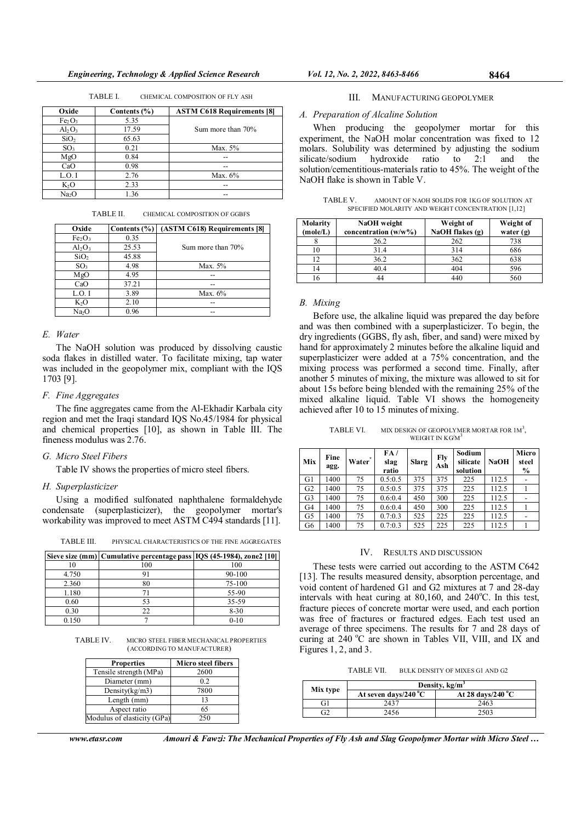| Oxide                          | Contents $(\% )$ | <b>ASTM C618 Requirements [8]</b> |
|--------------------------------|------------------|-----------------------------------|
| Fe <sub>2</sub> O <sub>3</sub> | 5.35             |                                   |
| $Al_2O_3$                      | 17.59            | Sum more than 70%                 |
| SiO <sub>2</sub>               | 65.63            |                                   |
| SO <sub>3</sub>                | 0.21             | Max. 5%                           |
| MgO                            | 0.84             |                                   |
| CaO                            | 0.98             | --                                |
| L.O.I                          | 2.76             | Max. $6\%$                        |
| $K_2O$                         | 2.33             |                                   |
| Na <sub>2</sub> O              | 1.36             | --                                |

TABLE I. CHEMICAL COMPOSITION OF FLY ASH

TABLE II. CHEMICAL COMPOSITION OF GGBFS

| Oxide                          | Contents $(\% )$ | (ASTM C618) Requirements [8] |
|--------------------------------|------------------|------------------------------|
| Fe <sub>2</sub> O <sub>3</sub> | 0.35             |                              |
| $Al_2O_3$                      | 25.53            | Sum more than 70%            |
| SiO <sub>2</sub>               | 45.88            |                              |
| SO <sub>3</sub>                | 4.98             | Max. 5%                      |
| MgO                            | 4.95             |                              |
| CaO                            | 37.21            |                              |
| L.O. I                         | 3.89             | Max. $6\%$                   |
| K <sub>2</sub> O               | 2.10             | --                           |
| Na <sub>2</sub> O              | 0.96             |                              |

### E. Water

The NaOH solution was produced by dissolving caustic soda flakes in distilled water. To facilitate mixing, tap water was included in the geopolymer mix, compliant with the IQS 1703 [9].

# F. Fine Aggregates

The fine aggregates came from the Al-Ekhadir Karbala city region and met the Iraqi standard IQS No.45/1984 for physical and chemical properties [10], as shown in Table III. The fineness modulus was 2.76.

# G. Micro Steel Fibers

Table IV shows the properties of micro steel fibers.

## H. Superplasticizer

Using a modified sulfonated naphthalene formaldehyde condensate (superplasticizer), the geopolymer mortar's workability was improved to meet ASTM C494 standards [11].

TABLE III. PHYSICAL CHARACTERISTICS OF THE FINE AGGREGATES

|       | Sieve size (mm) Cumulative percentage pass IQS (45-1984), zone2 [10] |          |
|-------|----------------------------------------------------------------------|----------|
|       | 100                                                                  | 100      |
| 4.750 |                                                                      | 90-100   |
| 2.360 | 80                                                                   | 75-100   |
| 1.180 |                                                                      | 55-90    |
| 0.60  | 53                                                                   | 35-59    |
| 0.30  | 22                                                                   | $8 - 30$ |
| 0.150 |                                                                      | $0 - 10$ |

TABLE IV. MICRO STEEL FIBER MECHANICAL PROPERTIES (ACCORDING TO MANUFACTURER)

| <b>Properties</b>           | Micro steel fibers |
|-----------------------------|--------------------|
| Tensile strength (MPa)      | 2600               |
| Diameter (mm)               | 0.2                |
| Density $(kg/m3)$           | 7800               |
| Length (mm)                 | 13                 |
| Aspect ratio                | 65                 |
| Modulus of elasticity (GPa) | 250                |

www.etasr.com Amouri & Fawzi: The Mechanical Properties of Fly Ash and Slag Geopolymer Mortar with Micro Steel ...

#### III. MANUFACTURING GEOPOLYMER

# A. Preparation of Alcaline Solution

When producing the geopolymer mortar for this experiment, the NaOH molar concentration was fixed to 12 molars. Solubility was determined by adjusting the sodium silicate/sodium hydroxide ratio to 2:1 and the solution/cementitious-materials ratio to 45%. The weight of the NaOH flake is shown in Table V.

| TABLE V. |                                                    | AMOUNT OF NAOH SOLIDS FOR 1KG OF SOLUTION AT |  |
|----------|----------------------------------------------------|----------------------------------------------|--|
|          | SPECIFIED MOLARITY AND WEIGHT CONCENTRATION [1,12] |                                              |  |

| Molarity | NaOH weight             | Weight of         | Weight of   |
|----------|-------------------------|-------------------|-------------|
| (mole/L) | concentration $(w/w\%)$ | NaOH flakes $(g)$ | water $(g)$ |
|          | 26.2                    | 262               | 738         |
| 10       | 31.4                    | 314               | 686         |
| 12       | 36.2                    | 362               | 638         |
| 14       | 40.4                    | 404               | 596         |
| -6       |                         | 440               | 560         |

#### B. Mixing

Before use, the alkaline liquid was prepared the day before and was then combined with a superplasticizer. To begin, the dry ingredients (GGBS, fly ash, fiber, and sand) were mixed by hand for approximately 2 minutes before the alkaline liquid and superplasticizer were added at a 75% concentration, and the mixing process was performed a second time. Finally, after another 5 minutes of mixing, the mixture was allowed to sit for about 15s before being blended with the remaining 25% of the mixed alkaline liquid. Table VI shows the homogeneity achieved after 10 to 15 minutes of mixing.

TABLE VI. MIX DESIGN OF GEOPOLYMER MORTAR FOR  $1M^3$ , WEIGHT IN KG/M

| Mix            | Fine<br>agg. | Water | FA/<br>slag<br>ratio | <b>Slarg</b> | Fly<br>Ash | Sodium<br>silicate<br>solution | <b>NaOH</b> | Micro<br>steel<br>$\frac{0}{0}$ |
|----------------|--------------|-------|----------------------|--------------|------------|--------------------------------|-------------|---------------------------------|
| G1             | 1400         | 75    | 0.5:0.5              | 375          | 375        | 225                            | 112.5       |                                 |
| G2             | 1400         | 75    | 0.5:0.5              | 375          | 375        | 225                            | 112.5       |                                 |
| G <sub>3</sub> | 1400         | 75    | 0.6:0.4              | 450          | 300        | 225                            | 112.5       |                                 |
| G4             | 1400         | 75    | 0.6:0.4              | 450          | 300        | 225                            | 112.5       |                                 |
| G5             | 1400         | 75    | 0.7:0.3              | 525          | 225        | 225                            | 112.5       |                                 |
| G6             | 1400         | 75    | 0.7:0.3              | 525          | 225        | 225                            | 112.5       |                                 |

# IV. RESULTS AND DISCUSSION

These tests were carried out according to the ASTM C642 [13]. The results measured density, absorption percentage, and void content of hardened G1 and G2 mixtures at 7 and 28-day intervals with heat curing at  $80,160$ , and  $240^{\circ}$ C. In this test, fracture pieces of concrete mortar were used, and each portion was free of fractures or fractured edges. Each test used an average of three specimens. The results for 7 and 28 days of curing at  $240\text{ °C}$  are shown in Tables VII, VIII, and IX and Figures 1, 2, and 3.

TABLE VII. BULK DENSITY OF MIXES G1 AND G2

|          | Density, $kg/m3$               |                             |  |
|----------|--------------------------------|-----------------------------|--|
| Mix type | At seven days/240 $^{\circ}$ C | At 28 days/240 $^{\circ}$ C |  |
| Gì       | 2437                           | 2463                        |  |
| 32       | 2456                           | 2503                        |  |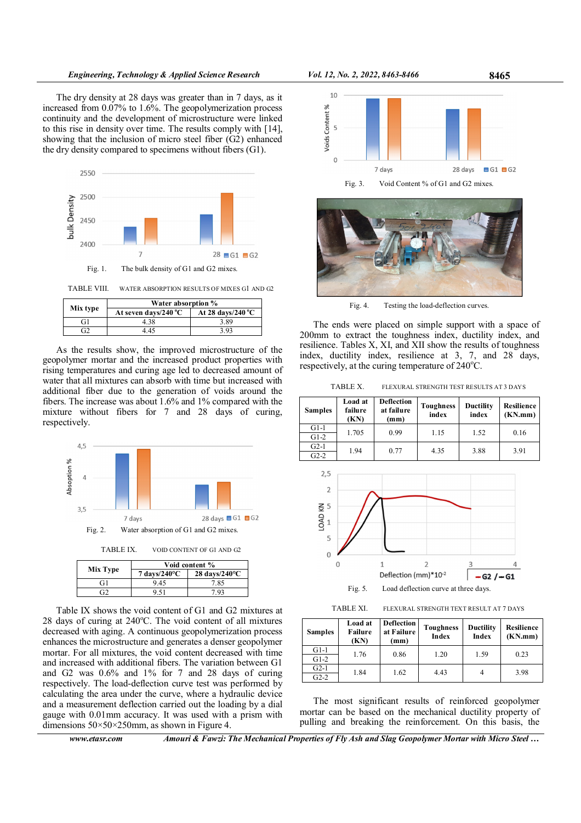The dry density at 28 days was greater than in 7 days, as it increased from 0.07% to 1.6%. The geopolymerization process continuity and the development of microstructure were linked to this rise in density over time. The results comply with [14], showing that the inclusion of micro steel fiber (G2) enhanced the dry density compared to specimens without fibers (G1).



|          | Water absorption %             |                             |  |  |
|----------|--------------------------------|-----------------------------|--|--|
| Mix type | At seven days/240 $^{\circ}$ C | At 28 days/240 $^{\circ}$ C |  |  |
| ЕĤ       | 4.38                           | 3.89                        |  |  |
|          | 4.45                           | 3.93                        |  |  |

As the results show, the improved microstructure of the geopolymer mortar and the increased product properties with rising temperatures and curing age led to decreased amount of water that all mixtures can absorb with time but increased with additional fiber due to the generation of voids around the fibers. The increase was about 1.6% and 1% compared with the mixture without fibers for 7 and 28 days of curing, respectively.



Table IX shows the void content of G1 and G2 mixtures at 28 days of curing at  $240^{\circ}$ C. The void content of all mixtures decreased with aging. A continuous geopolymerization process enhances the microstructure and generates a denser geopolymer mortar. For all mixtures, the void content decreased with time and increased with additional fibers. The variation between G1 and G2 was 0.6% and 1% for 7 and 28 days of curing respectively. The load-deflection curve test was performed by calculating the area under the curve, where a hydraulic device and a measurement deflection carried out the loading by a dial gauge with 0.01mm accuracy. It was used with a prism with dimensions  $50 \times 50 \times 250$  mm, as shown in Figure 4.





Fig. 4. Testing the load-deflection curves.

The ends were placed on simple support with a space of 200mm to extract the toughness index, ductility index, and resilience. Tables X, XI, and XII show the results of toughness index, ductility index, resilience at 3, 7, and 28 days, respectively, at the curing temperature of  $240^{\circ}$ C.

TABLE X. FLEXURAL STRENGTH TEST RESULTS AT 3 DAYS

| <b>Samples</b> | Load at<br>failure<br>(KN) | <b>Deflection</b><br>at failure<br>(mm) | <b>Toughness</b><br>index | <b>Ductility</b><br>index | Resilience<br>(KN/mm) |
|----------------|----------------------------|-----------------------------------------|---------------------------|---------------------------|-----------------------|
| $G1-1$         | 1.705                      | 0.99                                    | 1.15                      | 1.52                      | 0.16                  |
| $G1-2$         |                            |                                         |                           |                           |                       |
| $G2-1$         | 1.94                       | 0.77                                    | 4.35                      | 3.88                      | 3.91                  |
| $G2-2$         |                            |                                         |                           |                           |                       |



TABLE XI. FLEXURAL STRENGTH TEXT RESULT AT 7 DAYS

| <b>Samples</b> | Load at<br>Failure<br>(KN) | <b>Deflection</b><br>at Failure<br>(mm) | <b>Toughness</b><br>Index | <b>Ductility</b><br>Index | Resilience<br>(KN/mm) |
|----------------|----------------------------|-----------------------------------------|---------------------------|---------------------------|-----------------------|
| $G1-1$         | 1.76                       | 0.86                                    | 1.20                      | 1.59                      | 0.23                  |
| $G1-2$         |                            |                                         |                           |                           |                       |
| $G2-1$         | 1.84                       | 1.62                                    | 4.43                      | 4                         | 3.98                  |
| $G2-2$         |                            |                                         |                           |                           |                       |

The most significant results of reinforced geopolymer mortar can be based on the mechanical ductility property of pulling and breaking the reinforcement. On this basis, the

www.etasr.com Amouri & Fawzi: The Mechanical Properties of Fly Ash and Slag Geopolymer Mortar with Micro Steel ...